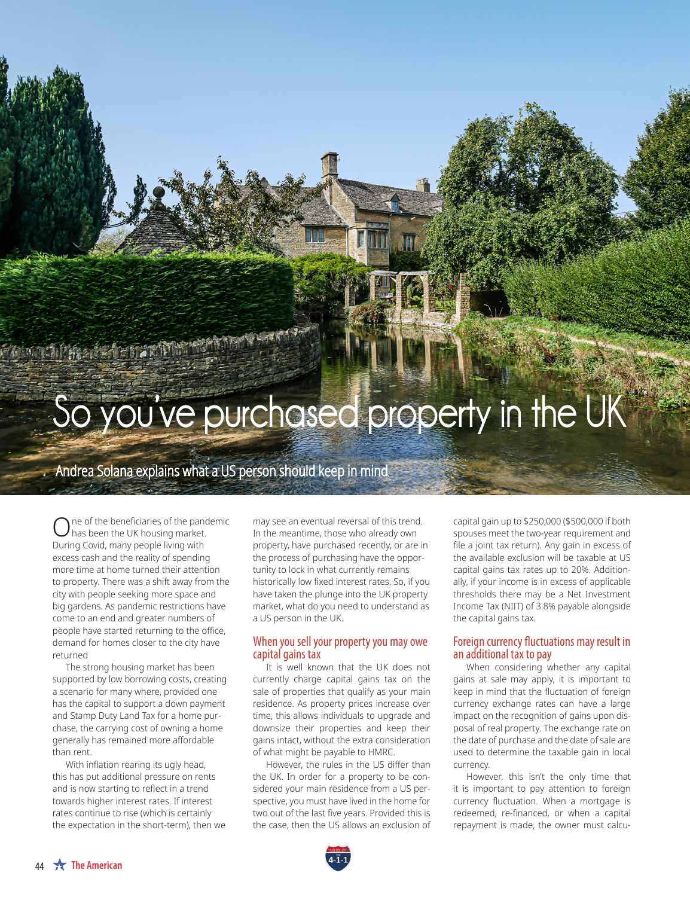# **So you've purchased property in the UK**

Andrea Solana explains what a US person should keep in mind

One of the beneficiaries of the pandemic<br>has been the UK housing market. During Covid, many people living with excess cash and the reality of spending more time at home turned their attention to property. There was a shift away from the city with people seeking more space and big gardens. As pandemic restrictions have come to an end and greater numbers of people have started returning to the office, demand for homes closer to the city have returned

**CALLARS AND STAR** 

The strong housing market has been supported by low borrowing costs, creating a scenario for many where, provided one has the capital to support a down payment and Stamp Duty Land Tax for a home purchase, the carrying cost of owning a home generally has remained more affordable than rent.

With inflation rearing its ugly head, this has put additional pressure on rents and is now starting to reflect in a trend towards higher interest rates. If interest rates continue to rise (which is certainly the expectation in the short-term), then we

may see an eventual reversal of this trend. In the meantime, those who already own property, have purchased recently, or are in the process of purchasing have the opportunity to lock in what currently remains historically low fixed interest rates. So, if you have taken the plunge into the UK property market, what do you need to understand as a US person in the UK.

### When you sell your property you may owe capital gains tax

It is well known that the UK does not currently charge capital gains tax on the sale of properties that qualify as your main residence. As property prices increase over time, this allows individuals to upgrade and downsize their properties and keep their gains intact, without the extra consideration of what might be payable to HMRC.

However, the rules in the US differ than the UK. In order for a property to be considered your main residence from a US perspective, you must have lived in the home for two out of the last five years. Provided this is the case, then the US allows an exclusion of capital gain up to \$250,000 (\$500,000 if both spouses meet the two-year requirement and file a joint tax return). Any gain in excess of the available exclusion will be taxable at US capital gains tax rates up to 20%. Additionally, if your income is in excess of applicable thresholds there may be a Net Investment Income Tax (NIIT) of 3.8% payable alongside the capital gains tax.

## Foreign currency fluctuations may result in an additional tax to pay

When considering whether any capital gains at sale may apply, it is important to keep in mind that the fluctuation of foreign currency exchange rates can have a large impact on the recognition of gains upon disposal of real property. The exchange rate on the date of purchase and the date of sale are used to determine the taxable gain in local currency.

However, this isn't the only time that it is important to pay attention to foreign currency fluctuation. When a mortgage is redeemed, re-financed, or when a capital repayment is made, the owner must calcu-